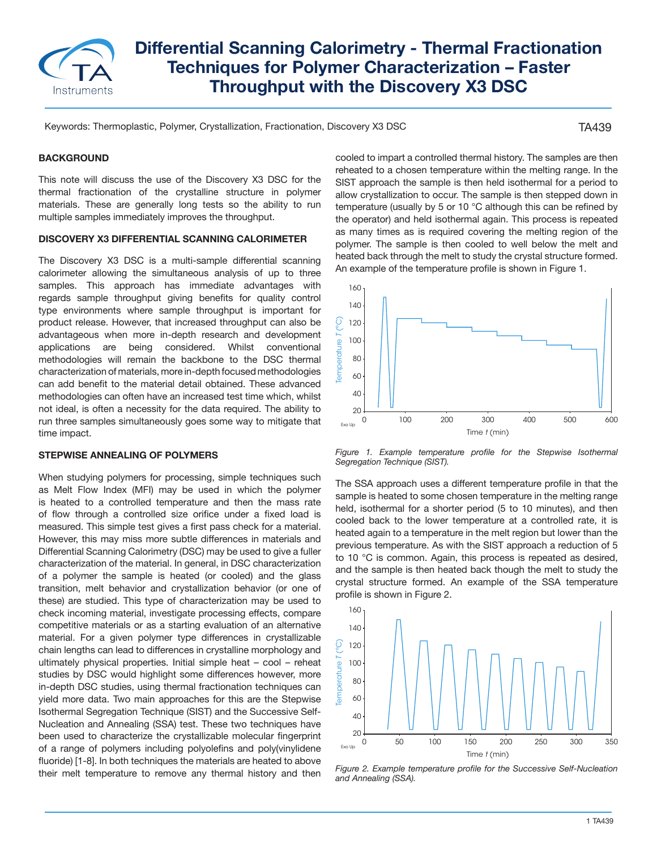

# **Differential Scanning Calorimetry - Thermal Fractionation Techniques for Polymer Characterization – Faster Throughput with the Discovery X3 DSC**

Keywords: Thermoplastic, Polymer, Crystallization, Fractionation, Discovery X3 DSC

TA439

#### **BACKGROUND**

This note will discuss the use of the Discovery X3 DSC for the thermal fractionation of the crystalline structure in polymer materials. These are generally long tests so the ability to run multiple samples immediately improves the throughput.

## **DISCOVERY X3 DIFFERENTIAL SCANNING CALORIMETER**

The Discovery X3 DSC is a multi-sample differential scanning calorimeter allowing the simultaneous analysis of up to three samples. This approach has immediate advantages with regards sample throughput giving benefits for quality control type environments where sample throughput is important for product release. However, that increased throughput can also be advantageous when more in-depth research and development applications are being considered. Whilst conventional methodologies will remain the backbone to the DSC thermal characterization of materials, more in-depth focused methodologies can add benefit to the material detail obtained. These advanced methodologies can often have an increased test time which, whilst not ideal, is often a necessity for the data required. The ability to run three samples simultaneously goes some way to mitigate that time impact.

#### **STEPWISE ANNEALING OF POLYMERS**

When studying polymers for processing, simple techniques such as Melt Flow Index (MFI) may be used in which the polymer is heated to a controlled temperature and then the mass rate of flow through a controlled size orifice under a fixed load is measured. This simple test gives a first pass check for a material. However, this may miss more subtle differences in materials and Differential Scanning Calorimetry (DSC) may be used to give a fuller characterization of the material. In general, in DSC characterization of a polymer the sample is heated (or cooled) and the glass transition, melt behavior and crystallization behavior (or one of these) are studied. This type of characterization may be used to check incoming material, investigate processing effects, compare competitive materials or as a starting evaluation of an alternative material. For a given polymer type differences in crystallizable chain lengths can lead to differences in crystalline morphology and ultimately physical properties. Initial simple heat – cool – reheat studies by DSC would highlight some differences however, more in-depth DSC studies, using thermal fractionation techniques can yield more data. Two main approaches for this are the Stepwise Isothermal Segregation Technique (SIST) and the Successive Self-Nucleation and Annealing (SSA) test. These two techniques have been used to characterize the crystallizable molecular fingerprint of a range of polymers including polyolefins and poly(vinylidene fluoride) [1-8]. In both techniques the materials are heated to above their melt temperature to remove any thermal history and then cooled to impart a controlled thermal history. The samples are then reheated to a chosen temperature within the melting range. In the SIST approach the sample is then held isothermal for a period to allow crystallization to occur. The sample is then stepped down in temperature (usually by 5 or 10 °C although this can be refined by the operator) and held isothermal again. This process is repeated as many times as is required covering the melting region of the polymer. The sample is then cooled to well below the melt and heated back through the melt to study the crystal structure formed. An example of the temperature profile is shown in Figure 1.



Figure 1. Example temperature profile for the Stepwise Isothermal *Segregation Technique (SIST).*

The SSA approach uses a different temperature profile in that the sample is heated to some chosen temperature in the melting range held, isothermal for a shorter period (5 to 10 minutes), and then cooled back to the lower temperature at a controlled rate, it is heated again to a temperature in the melt region but lower than the previous temperature. As with the SIST approach a reduction of 5 to 10 °C is common. Again, this process is repeated as desired, and the sample is then heated back though the melt to study the crystal structure formed. An example of the SSA temperature profile is shown in Figure 2.



*Figure 2. Example temperature profile for the Successive Self-Nucleation and Annealing (SSA).*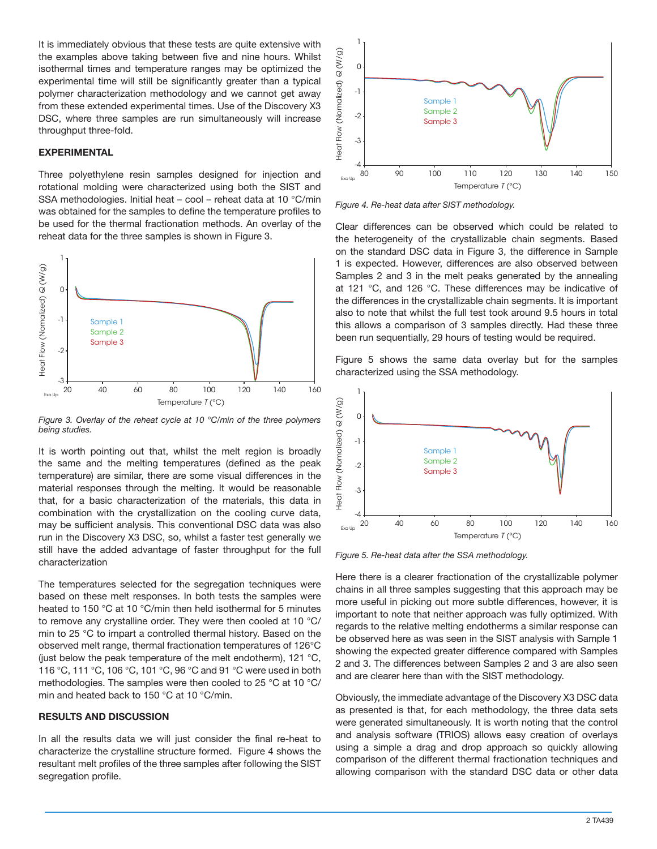It is immediately obvious that these tests are quite extensive with the examples above taking between five and nine hours. Whilst isothermal times and temperature ranges may be optimized the experimental time will still be significantly greater than a typical polymer characterization methodology and we cannot get away from these extended experimental times. Use of the Discovery X3 DSC, where three samples are run simultaneously will increase throughput three-fold.

#### **EXPERIMENTAL**

Three polyethylene resin samples designed for injection and rotational molding were characterized using both the SIST and SSA methodologies. Initial heat – cool – reheat data at 10 °C/min was obtained for the samples to define the temperature profiles to be used for the thermal fractionation methods. An overlay of the reheat data for the three samples is shown in Figure 3.



*Figure 3. Overlay of the reheat cycle at 10 °C/min of the three polymers being studies.*

It is worth pointing out that, whilst the melt region is broadly the same and the melting temperatures (defined as the peak temperature) are similar, there are some visual differences in the material responses through the melting. It would be reasonable that, for a basic characterization of the materials, this data in combination with the crystallization on the cooling curve data, may be sufficient analysis. This conventional DSC data was also run in the Discovery X3 DSC, so, whilst a faster test generally we still have the added advantage of faster throughput for the full characterization

The temperatures selected for the segregation techniques were based on these melt responses. In both tests the samples were heated to 150 °C at 10 °C/min then held isothermal for 5 minutes to remove any crystalline order. They were then cooled at 10 °C/ min to 25 °C to impart a controlled thermal history. Based on the observed melt range, thermal fractionation temperatures of 126°C (just below the peak temperature of the melt endotherm), 121 °C, 116 °C, 111 °C, 106 °C, 101 °C, 96 °C and 91 °C were used in both methodologies. The samples were then cooled to 25 °C at 10 °C/ min and heated back to 150 °C at 10 °C/min.

#### **RESULTS AND DISCUSSION**

In all the results data we will just consider the final re-heat to characterize the crystalline structure formed. Figure 4 shows the resultant melt profiles of the three samples after following the SIST segregation profile.



*Figure 4. Re-heat data after SIST methodology.*

Clear differences can be observed which could be related to the heterogeneity of the crystallizable chain segments. Based on the standard DSC data in Figure 3, the difference in Sample 1 is expected. However, differences are also observed between Samples 2 and 3 in the melt peaks generated by the annealing at 121 °C, and 126 °C. These differences may be indicative of the differences in the crystallizable chain segments. It is important also to note that whilst the full test took around 9.5 hours in total this allows a comparison of 3 samples directly. Had these three been run sequentially, 29 hours of testing would be required.

Figure 5 shows the same data overlay but for the samples characterized using the SSA methodology.



*Figure 5. Re-heat data after the SSA methodology.*

Here there is a clearer fractionation of the crystallizable polymer chains in all three samples suggesting that this approach may be more useful in picking out more subtle differences, however, it is important to note that neither approach was fully optimized. With regards to the relative melting endotherms a similar response can be observed here as was seen in the SIST analysis with Sample 1 showing the expected greater difference compared with Samples 2 and 3. The differences between Samples 2 and 3 are also seen and are clearer here than with the SIST methodology.

Obviously, the immediate advantage of the Discovery X3 DSC data as presented is that, for each methodology, the three data sets were generated simultaneously. It is worth noting that the control and analysis software (TRIOS) allows easy creation of overlays using a simple a drag and drop approach so quickly allowing comparison of the different thermal fractionation techniques and allowing comparison with the standard DSC data or other data